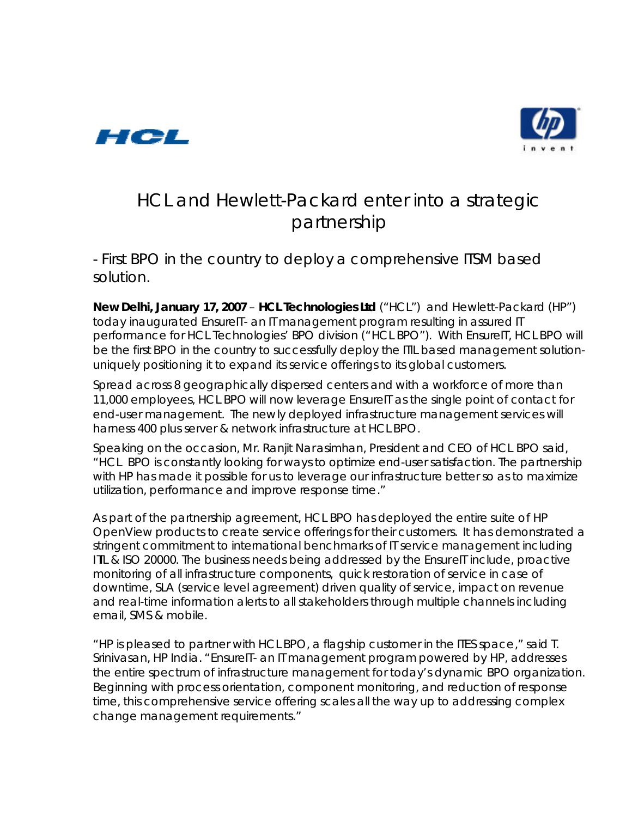



# HCL and Hewlett-Packard enter into a strategic partnership

*-* First BPO in the country to deploy a comprehensive ITSM based solution.

**New Delhi, January 17, 2007** – **HCL Technologies Ltd** ("HCL") and Hewlett-Packard (HP") today inaugurated *EnsureIT-* an IT management program resulting in assured IT performance for HCL Technologies' BPO division ("HCL BPO"). With *EnsureIT*, HCL BPO will be the first BPO in the country to successfully deploy the ITIL based management solutionuniquely positioning it to expand its service offerings to its global customers.

Spread across 8 geographically dispersed centers and with a workforce of more than 11,000 employees, HCL BPO will now leverage *EnsureIT* as the single point of contact for end-user management. The newly deployed infrastructure management services will harness 400 plus server & network infrastructure at HCL BPO.

Speaking on the occasion, Mr. Ranjit Narasimhan, President and CEO of HCL BPO said, "HCL BPO is constantly looking for ways to optimize end-user satisfaction. The partnership with HP has made it possible for us to leverage our infrastructure better so as to maximize utilization, performance and improve response time."

As part of the partnership agreement, HCL BPO has deployed the entire suite of HP OpenView products to create service offerings for their customers. It has demonstrated a stringent commitment to international benchmarks of IT service management including ITIL & ISO 20000. The business needs being addressed by the *EnsureIT* include, proactive monitoring of all infrastructure components, quick restoration of service in case of downtime, SLA (service level agreement) driven quality of service, impact on revenue and real-time information alerts to all stakeholders through multiple channels including email, SMS & mobile.

"HP is pleased to partner with HCL BPO, a flagship customer in the ITES space," said T. Srinivasan, HP India. "*EnsureIT-* an IT management program powered by HP, addresses the entire spectrum of infrastructure management for today's dynamic BPO organization. Beginning with process orientation, component monitoring, and reduction of response time, this comprehensive service offering scales all the way up to addressing complex change management requirements."